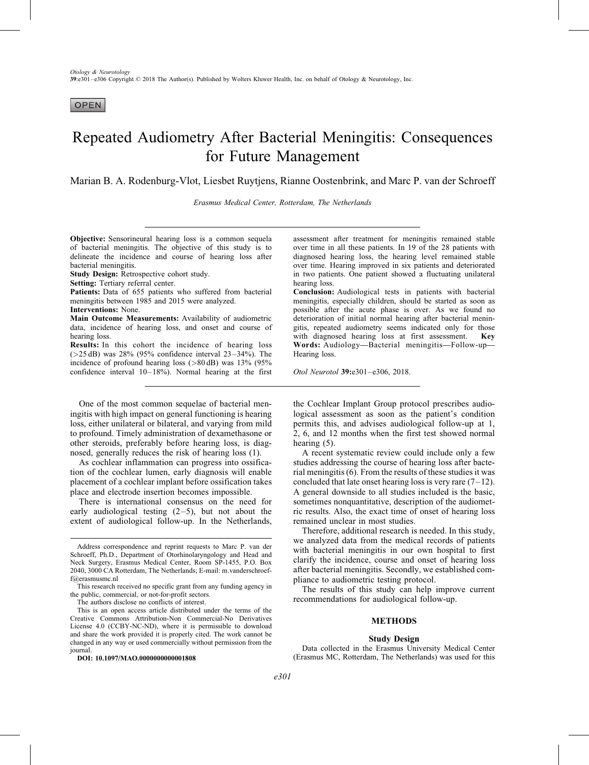**OPEN** 

# Repeated Audiometry After Bacterial Meningitis: Consequences for Future Management

Marian B. A. Rodenburg-Vlot, Liesbet Ruytjens, Rianne Oostenbrink, and Marc P. van der Schroeff

Erasmus Medical Center, Rotterdam, The Netherlands

Objective: Sensorineural hearing loss is a common sequela of bacterial meningitis. The objective of this study is to delineate the incidence and course of hearing loss after bacterial meningitis.

Study Design: Retrospective cohort study.

Setting: Tertiary referral center.

Patients: Data of 655 patients who suffered from bacterial meningitis between 1985 and 2015 were analyzed.

Interventions: None.

Main Outcome Measurements: Availability of audiometric data, incidence of hearing loss, and onset and course of hearing loss.

Results: In this cohort the incidence of hearing loss  $(>25$  dB) was 28% (95% confidence interval  $23-34%$ ). The incidence of profound hearing loss (>80 dB) was 13% (95% confidence interval 10–18%). Normal hearing at the first

One of the most common sequelae of bacterial meningitis with high impact on general functioning is hearing loss, either unilateral or bilateral, and varying from mild to profound. Timely administration of dexamethasone or other steroids, preferably before hearing loss, is diagnosed, generally reduces the risk of hearing loss [\(1\).](#page-5-0)

As cochlear inflammation can progress into ossification of the cochlear lumen, early diagnosis will enable placement of a cochlear implant before ossification takes place and electrode insertion becomes impossible.

There is international consensus on the need for early audiological testing  $(2-5)$ , but not about the extent of audiological follow-up. In the Netherlands,

The authors disclose no conflicts of interest.

DOI: 10.1097/MAO.0000000000001808

assessment after treatment for meningitis remained stable over time in all these patients. In 19 of the 28 patients with diagnosed hearing loss, the hearing level remained stable over time. Hearing improved in six patients and deteriorated in two patients. One patient showed a fluctuating unilateral hearing loss.

Conclusion: Audiological tests in patients with bacterial meningitis, especially children, should be started as soon as possible after the acute phase is over. As we found no deterioration of initial normal hearing after bacterial meningitis, repeated audiometry seems indicated only for those with diagnosed hearing loss at first assessment. Key Words: Audiology—Bacterial meningitis—Follow-up— Hearing loss.

Otol Neurotol 39:e301–e306, 2018.

the Cochlear Implant Group protocol prescribes audiological assessment as soon as the patient's condition permits this, and advises audiological follow-up at 1, 2, 6, and 12 months when the first test showed normal hearing [\(5\).](#page-5-0)

A recent systematic review could include only a few studies addressing the course of hearing loss after bacterial meningitis [\(6\).](#page-5-0) From the results of these studies it was concluded that late onset hearing loss is very rare  $(7-12)$ . A general downside to all studies included is the basic, sometimes nonquantitative, description of the audiometric results. Also, the exact time of onset of hearing loss remained unclear in most studies.

Therefore, additional research is needed. In this study, we analyzed data from the medical records of patients with bacterial meningitis in our own hospital to first clarify the incidence, course and onset of hearing loss after bacterial meningitis. Secondly, we established compliance to audiometric testing protocol.

The results of this study can help improve current recommendations for audiological follow-up.

# METHODS

#### Study Design

Data collected in the Erasmus University Medical Center (Erasmus MC, Rotterdam, The Netherlands) was used for this

Address correspondence and reprint requests to Marc P. van der Schroeff, Ph.D., Department of Otorhinolaryngology and Head and Neck Surgery, Erasmus Medical Center, Room SP-1455, P.O. Box 2040, 3000 CA Rotterdam, The Netherlands; E-mail: [m.vanderschroef](mailto:m.vanderschroeff@erasmusmc.nl)[f@erasmusmc.nl](mailto:m.vanderschroeff@erasmusmc.nl)

This research received no specific grant from any funding agency in the public, commercial, or not-for-profit sectors.

This is an open access article distributed under the terms of the Creative Commons Attribution-Non Commercial-No Derivatives License 4.0 (CCBY-NC-ND), where it is permissible to download and share the work provided it is properly cited. The work cannot be changed in any way or used commercially without permission from the journal.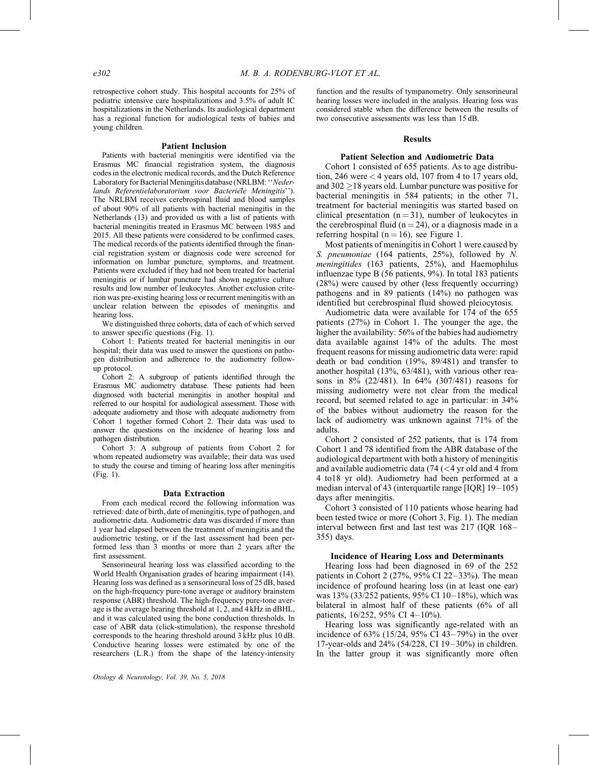retrospective cohort study. This hospital accounts for 25% of pediatric intensive care hospitalizations and 3.5% of adult IC hospitalizations in the Netherlands. Its audiological department has a regional function for audiological tests of babies and young children.

#### Patient Inclusion

Patients with bacterial meningitis were identified via the Erasmus MC financial registration system, the diagnosis codes in the electronic medical records, and the Dutch Reference Laboratory for Bacterial Meningitis database (NRLBM: ''Nederlands Referentielaboratorium voor Bacteriele Meningitis''). The NRLBM receives cerebrospinal fluid and blood samples of about 90% of all patients with bacterial meningitis in the Netherlands [\(13\)](#page-5-0) and provided us with a list of patients with bacterial meningitis treated in Erasmus MC between 1985 and 2015. All these patients were considered to be confirmed cases. The medical records of the patients identified through the financial registration system or diagnosis code were screened for information on lumbar puncture, symptoms, and treatment. Patients were excluded if they had not been treated for bacterial meningitis or if lumbar puncture had shown negative culture results and low number of leukocytes. Another exclusion criterion was pre-existing hearing loss or recurrent meningitis with an unclear relation between the episodes of meningitis and hearing loss.

We distinguished three cohorts, data of each of which served to answer specific questions (Fig. 1).

Cohort 1: Patients treated for bacterial meningitis in our hospital; their data was used to answer the questions on pathogen distribution and adherence to the audiometry followup protocol.

Cohort 2: A subgroup of patients identified through the Erasmus MC audiometry database. These patients had been diagnosed with bacterial meningitis in another hospital and referred to our hospital for audiological assessment. Those with adequate audiometry and those with adequate audiometry from Cohort 1 together formed Cohort 2. Their data was used to answer the questions on the incidence of hearing loss and pathogen distribution.

Cohort 3: A subgroup of patients from Cohort 2 for whom repeated audiometry was available; their data was used to study the course and timing of hearing loss after meningitis (Fig. 1).

#### Data Extraction

From each medical record the following information was retrieved: date of birth, date of meningitis, type of pathogen, and audiometric data. Audiometric data was discarded if more than 1 year had elapsed between the treatment of meningitis and the audiometric testing, or if the last assessment had been performed less than 3 months or more than 2 years after the first assessment.

Sensorineural hearing loss was classified according to the World Health Organisation grades of hearing impairment [\(14\)](#page-5-0). Hearing loss was defined as a sensorineural loss of 25 dB, based on the high-frequency pure-tone average or auditory brainstem response (ABR) threshold. The high-frequency pure-tone average is the average hearing threshold at 1, 2, and 4 kHz in dBHL, and it was calculated using the bone conduction thresholds. In case of ABR data (click-stimulation), the response threshold corresponds to the hearing threshold around 3 kHz plus 10 dB. Conductive hearing losses were estimated by one of the researchers (L.R.) from the shape of the latency-intensity function and the results of tympanometry. Only sensorineural hearing losses were included in the analysis. Hearing loss was considered stable when the difference between the results of two consecutive assessments was less than 15 dB.

## **Results**

#### Patient Selection and Audiometric Data

Cohort 1 consisted of 655 patients. As to age distribution, 246 were < 4 years old, 107 from 4 to 17 years old, and 302  $\geq$  18 years old. Lumbar puncture was positive for bacterial meningitis in 584 patients; in the other 71, treatment for bacterial meningitis was started based on clinical presentation  $(n = 31)$ , number of leukocytes in the cerebrospinal fluid ( $n = 24$ ), or a diagnosis made in a referring hospital ( $n = 16$ ), see Figure 1.

Most patients of meningitis in Cohort 1 were caused by S. pneumoniae (164 patients, 25%), followed by N. meningitides (163 patients, 25%), and Haemophilus influenzae type B (56 patients, 9%). In total 183 patients (28%) were caused by other (less frequently occurring) pathogens and in 89 patients (14%) no pathogen was identified but cerebrospinal fluid showed pleiocytosis.

Audiometric data were available for 174 of the 655 patients (27%) in Cohort 1. The younger the age, the higher the availability: 56% of the babies had audiometry data available against 14% of the adults. The most frequent reasons for missing audiometric data were: rapid death or bad condition (19%, 89/481) and transfer to another hospital (13%, 63/481), with various other reasons in 8% (22/481). In 64% (307/481) reasons for missing audiometry were not clear from the medical record, but seemed related to age in particular: in 34% of the babies without audiometry the reason for the lack of audiometry was unknown against 71% of the adults.

Cohort 2 consisted of 252 patients, that is 174 from Cohort 1 and 78 identified from the ABR database of the audiological department with both a history of meningitis and available audiometric data (74 ( $\lt$ 4 yr old and 4 from 4 to18 yr old). Audiometry had been performed at a median interval of 43 (interquartile range [IQR] 19–105) days after meningitis.

Cohort 3 consisted of 110 patients whose hearing had been tested twice or more (Cohort 3, Fig. 1). The median interval between first and last test was 217 (IQR 168– 355) days.

## Incidence of Hearing Loss and Determinants

Hearing loss had been diagnosed in 69 of the 252 patients in Cohort 2 (27%, 95% CI 22–33%). The mean incidence of profound hearing loss (in at least one ear) was 13% (33/252 patients, 95% CI 10–18%), which was bilateral in almost half of these patients (6% of all patients, 16/252, 95% CI 4–10%).

Hearing loss was significantly age-related with an incidence of 63% (15/24, 95% CI 43–79%) in the over 17-year-olds and 24% (54/228, CI 19–30%) in children. In the latter group it was significantly more often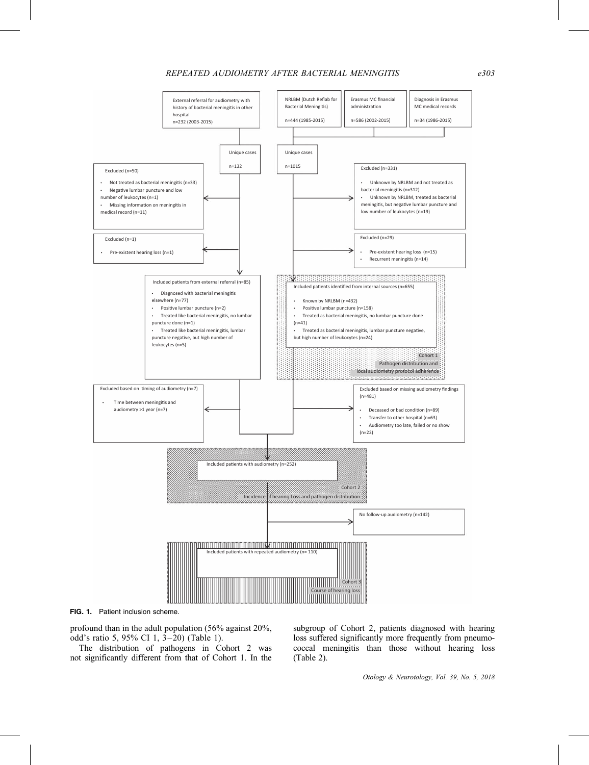## REPEATED AUDIOMETRY AFTER BACTERIAL MENINGITIS e303



FIG. 1. Patient inclusion scheme.

profound than in the adult population (56% against 20%, odd's ratio 5, 95% CI 1, 3–20) (Table 1).

The distribution of pathogens in Cohort 2 was not significantly different from that of Cohort 1. In the subgroup of Cohort 2, patients diagnosed with hearing loss suffered significantly more frequently from pneumococcal meningitis than those without hearing loss (Table 2).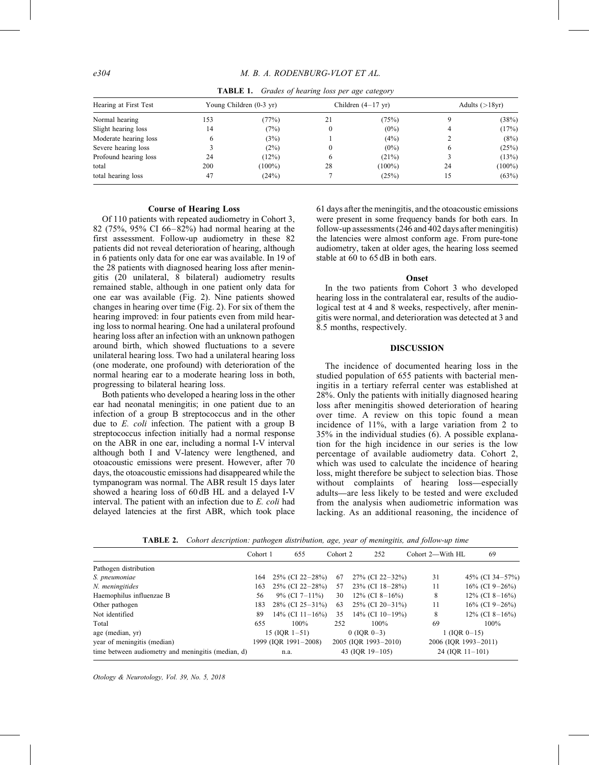| Hearing at First Test<br>Normal hearing |                         |           |    |                              |                   |           |
|-----------------------------------------|-------------------------|-----------|----|------------------------------|-------------------|-----------|
|                                         | Young Children (0-3 yr) |           |    | Children $(4-17 \text{ yr})$ | Adults $(>18$ yr) |           |
|                                         | 153                     | (77%)     | 21 | (75%)                        |                   | (38%)     |
| Slight hearing loss                     | 14                      | (7%)      |    | $(0\%)$                      |                   | (17%)     |
| Moderate hearing loss                   |                         | (3%)      |    | (4%)                         |                   | (8%)      |
| Severe hearing loss                     |                         | (2%)      |    | $(0\%)$                      |                   | (25%)     |
| Profound hearing loss                   | 24                      | (12%)     |    | (21%)                        |                   | (13%)     |
| total                                   | 200                     | $(100\%)$ | 28 | $(100\%)$                    | 24                | $(100\%)$ |
| total hearing loss                      | 47                      | (24%)     |    | (25%)                        | 15                | (63%)     |

TABLE 1. Grades of hearing loss per age category

## Course of Hearing Loss

Of 110 patients with repeated audiometry in Cohort 3, 82 (75%, 95% CI 66–82%) had normal hearing at the first assessment. Follow-up audiometry in these 82 patients did not reveal deterioration of hearing, although in 6 patients only data for one ear was available. In 19 of the 28 patients with diagnosed hearing loss after meningitis (20 unilateral, 8 bilateral) audiometry results remained stable, although in one patient only data for one ear was available (Fig. 2). Nine patients showed changes in hearing over time (Fig. 2). For six of them the hearing improved: in four patients even from mild hearing loss to normal hearing. One had a unilateral profound hearing loss after an infection with an unknown pathogen around birth, which showed fluctuations to a severe unilateral hearing loss. Two had a unilateral hearing loss (one moderate, one profound) with deterioration of the normal hearing ear to a moderate hearing loss in both, progressing to bilateral hearing loss.

Both patients who developed a hearing loss in the other ear had neonatal meningitis; in one patient due to an infection of a group B streptococcus and in the other due to E. coli infection. The patient with a group B streptococcus infection initially had a normal response on the ABR in one ear, including a normal I-V interval although both I and V-latency were lengthened, and otoacoustic emissions were present. However, after 70 days, the otoacoustic emissions had disappeared while the tympanogram was normal. The ABR result 15 days later showed a hearing loss of 60 dB HL and a delayed I-V interval. The patient with an infection due to E. coli had delayed latencies at the first ABR, which took place 61 days after the meningitis, and the otoacoustic emissions were present in some frequency bands for both ears. In follow-up assessments (246 and 402 days after meningitis) the latencies were almost conform age. From pure-tone audiometry, taken at older ages, the hearing loss seemed stable at 60 to 65 dB in both ears.

### **Onset**

In the two patients from Cohort 3 who developed hearing loss in the contralateral ear, results of the audiological test at 4 and 8 weeks, respectively, after meningitis were normal, and deterioration was detected at 3 and 8.5 months, respectively.

## DISCUSSION

The incidence of documented hearing loss in the studied population of 655 patients with bacterial meningitis in a tertiary referral center was established at 28%. Only the patients with initially diagnosed hearing loss after meningitis showed deterioration of hearing over time. A review on this topic found a mean incidence of 11%, with a large variation from 2 to 35% in the individual studies [\(6\).](#page-5-0) A possible explanation for the high incidence in our series is the low percentage of available audiometry data. Cohort 2, which was used to calculate the incidence of hearing loss, might therefore be subject to selection bias. Those without complaints of hearing loss—especially adults—are less likely to be tested and were excluded from the analysis when audiometric information was lacking. As an additional reasoning, the incidence of

TABLE 2. Cohort description: pathogen distribution, age, year of meningitis, and follow-up time

|                                                    | Cohort 1 | 655                  | Cohort 2 | 252                  | Cohort 2—With HL     | 69               |
|----------------------------------------------------|----------|----------------------|----------|----------------------|----------------------|------------------|
| Pathogen distribution                              |          |                      |          |                      |                      |                  |
| S. pneumoniae                                      | 164      | $25\%$ (CI 22-28%)   | 67       | $27\%$ (CI 22-32%)   | 31                   | 45% (CI 34-57%)  |
| N. meningitides                                    | 163      | $25\%$ (CI 22-28%)   | 57       | $23\%$ (CI 18-28%)   | 11                   | 16\% (CI 9-26\%) |
| Haemophilus influenzae B                           | 56       | $9\%$ (CI 7-11%)     | 30       | $12\%$ (CI 8-16%)    | 8                    | 12\% (CI 8-16\%) |
| Other pathogen                                     | 183      | $28\%$ (CI 25-31%)   | 63       | $25\%$ (CI 20-31%)   | 11                   | 16\% (CI 9-26\%) |
| Not identified                                     | 89       | 14\% (CI 11-16\%)    | 35       | 14\% (CI 10-19\%)    | 8                    | 12\% (CI 8-16\%) |
| Total                                              | 655      | $100\%$              | 252      | 100%                 | 69                   | $100\%$          |
| age (median, yr)                                   |          | 15 (IOR $1-51$ )     |          | $0$ (IOR 0-3)        | $1$ (IOR 0-15)       |                  |
| year of meningitis (median)                        |          | 1999 (IOR 1991-2008) |          | 2005 (IQR 1993-2010) | 2006 (IOR 1993-2011) |                  |
| time between audiometry and meningitis (median, d) |          | n.a.                 |          | 43 (IOR $19-105$ )   | $24$ (IOR 11-101)    |                  |

Otology & Neurotology, Vol. 39, No. 5, 2018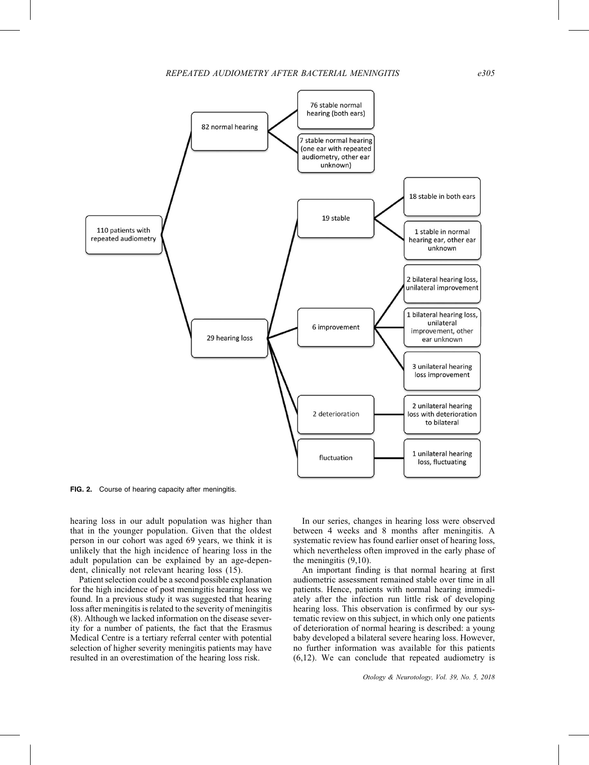

FIG. 2. Course of hearing capacity after meningitis.

hearing loss in our adult population was higher than that in the younger population. Given that the oldest person in our cohort was aged 69 years, we think it is unlikely that the high incidence of hearing loss in the adult population can be explained by an age-dependent, clinically not relevant hearing loss [\(15\).](#page-5-0)

Patient selection could be a second possible explanation for the high incidence of post meningitis hearing loss we found. In a previous study it was suggested that hearing loss after meningitis is related to the severity of meningitis [\(8\)](#page-5-0). Although we lacked information on the disease severity for a number of patients, the fact that the Erasmus Medical Centre is a tertiary referral center with potential selection of higher severity meningitis patients may have resulted in an overestimation of the hearing loss risk.

In our series, changes in hearing loss were observed between 4 weeks and 8 months after meningitis. A systematic review has found earlier onset of hearing loss, which nevertheless often improved in the early phase of the meningitis [\(9,10\)](#page-5-0).

An important finding is that normal hearing at first audiometric assessment remained stable over time in all patients. Hence, patients with normal hearing immediately after the infection run little risk of developing hearing loss. This observation is confirmed by our systematic review on this subject, in which only one patients of deterioration of normal hearing is described: a young baby developed a bilateral severe hearing loss. However, no further information was available for this patients [\(6,12\).](#page-5-0) We can conclude that repeated audiometry is